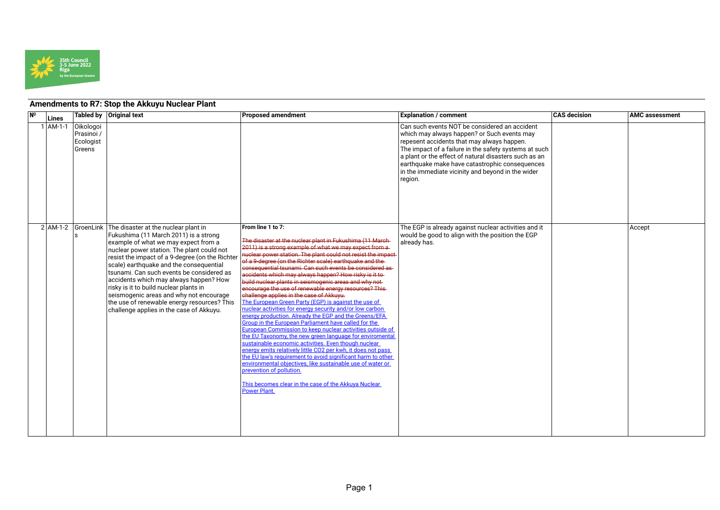

## **Amendments to R7: Stop the Akkuyu Nuclear Plant**

| N <sup>o</sup> | Lines        |                                                              | Tabled by   Original text                                                                                                                                                                                                                                                                                                                                                                                                                                                                                                                                   | <b>Proposed amendment</b>                                                                                                                                                                                                                                                                                                                                                                                                                                                                                                                                                                                                                                                                                                                                                                                                                                                                                                                                                                                                                                                                                                                                                                                                                                                                | <b>Explanation / comment</b>                                                                                                                                                                                                                                                                                                                                                   | <b>CAS</b> decision | <b>AMC assessment</b> |
|----------------|--------------|--------------------------------------------------------------|-------------------------------------------------------------------------------------------------------------------------------------------------------------------------------------------------------------------------------------------------------------------------------------------------------------------------------------------------------------------------------------------------------------------------------------------------------------------------------------------------------------------------------------------------------------|------------------------------------------------------------------------------------------------------------------------------------------------------------------------------------------------------------------------------------------------------------------------------------------------------------------------------------------------------------------------------------------------------------------------------------------------------------------------------------------------------------------------------------------------------------------------------------------------------------------------------------------------------------------------------------------------------------------------------------------------------------------------------------------------------------------------------------------------------------------------------------------------------------------------------------------------------------------------------------------------------------------------------------------------------------------------------------------------------------------------------------------------------------------------------------------------------------------------------------------------------------------------------------------|--------------------------------------------------------------------------------------------------------------------------------------------------------------------------------------------------------------------------------------------------------------------------------------------------------------------------------------------------------------------------------|---------------------|-----------------------|
|                | $1$   AM-1-1 | <b>Oikologoi</b><br>Prasinoi /<br>Ecologist<br><b>Greens</b> |                                                                                                                                                                                                                                                                                                                                                                                                                                                                                                                                                             |                                                                                                                                                                                                                                                                                                                                                                                                                                                                                                                                                                                                                                                                                                                                                                                                                                                                                                                                                                                                                                                                                                                                                                                                                                                                                          | Can such events NOT be considered an accident<br>which may always happen? or Such events may<br>repesent accidents that may always happen.<br>The impact of a failure in the safety systems at such<br>a plant or the effect of natural disasters such as an<br>earthquake make have catastrophic consequences<br>in the immediate vicinity and beyond in the wider<br>region. |                     |                       |
|                |              |                                                              | 2 AM-1-2 GroenLink The disaster at the nuclear plant in<br>Fukushima (11 March 2011) is a strong<br>example of what we may expect from a<br>nuclear power station. The plant could not<br>resist the impact of a 9-degree (on the Richter<br>scale) earthquake and the consequential<br>tsunami. Can such events be considered as<br>accidents which may always happen? How<br>risky is it to build nuclear plants in<br>seismogenic areas and why not encourage<br>the use of renewable energy resources? This<br>challenge applies in the case of Akkuyu. | From line 1 to 7:<br>The disaster at the nuclear plant in Fukushima (11 March-<br>2011) is a strong example of what we may expect from a<br>nuclear power station. The plant could not resist the impact-<br>of a 9-degree (on the Richter scale) earthquake and the-<br>consequential tsunami. Can such events be considered as-<br>accidents which may always happen? How risky is it to<br>build nuclear plants in seismogenic areas and why not-<br>encourage the use of renewable energy resources? This-<br>challenge applies in the case of Akkuyu.<br>The European Green Party (EGP) is against the use of<br>nuclear activities for energy security and/or low carbon<br>energy production. Already the EGP and the Greens/EFA<br>Group in the European Parliament have called for the<br>European Commission to keep nuclear activities outside of<br>the EU Taxonomy, the new green language for enviromental<br>sustainable economic activities. Even though nuclear<br>energy emits relatively little CO2 per kwh, it does not pass<br>the EU law's requirement to avoid significant harm to other<br>environmental objectives, like sustainable use of water or<br>prevention of pollution.<br>This becomes clear in the case of the Akkuya Nuclear<br><b>Power Plant.</b> | The EGP is already against nuclear activities and it<br>would be good to align with the position the EGP<br>already has.                                                                                                                                                                                                                                                       |                     | Accept                |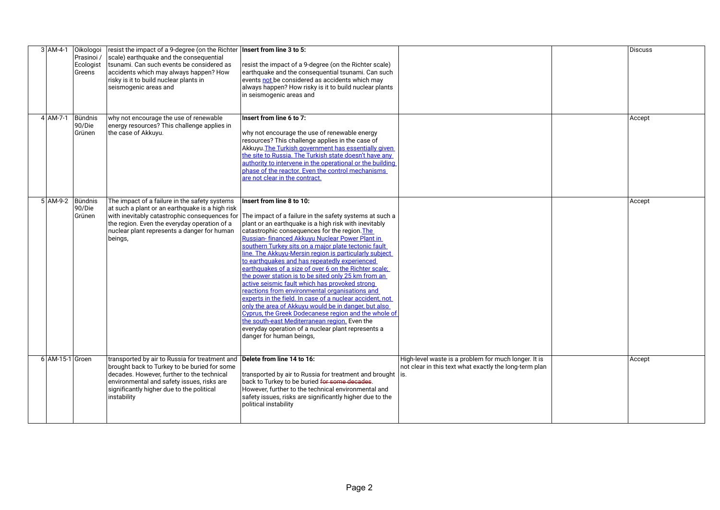| $3$ AM-4-1       | <b>Oikologoi</b><br>Prasinoi /<br>Ecologist<br>Greens | $\vert$ resist the impact of a 9-degree (on the Richter   Insert from line 3 to 5:<br>scale) earthquake and the consequential<br>Itsunami. Can such events be considered as<br>accidents which may always happen? How<br>risky is it to build nuclear plants in<br>seismogenic areas and | resist the impact of a 9-degree (on the Richter scale)<br>earthquake and the consequential tsunami. Can such<br>events not be considered as accidents which may<br>always happen? How risky is it to build nuclear plants                                                                                                                                                                                                                                                                                                                                                                                                                                                                                                                                                                                                                                                                                                                               |                                                                                                                | Discuss |
|------------------|-------------------------------------------------------|------------------------------------------------------------------------------------------------------------------------------------------------------------------------------------------------------------------------------------------------------------------------------------------|---------------------------------------------------------------------------------------------------------------------------------------------------------------------------------------------------------------------------------------------------------------------------------------------------------------------------------------------------------------------------------------------------------------------------------------------------------------------------------------------------------------------------------------------------------------------------------------------------------------------------------------------------------------------------------------------------------------------------------------------------------------------------------------------------------------------------------------------------------------------------------------------------------------------------------------------------------|----------------------------------------------------------------------------------------------------------------|---------|
|                  |                                                       |                                                                                                                                                                                                                                                                                          | in seismogenic areas and                                                                                                                                                                                                                                                                                                                                                                                                                                                                                                                                                                                                                                                                                                                                                                                                                                                                                                                                |                                                                                                                |         |
| 4 AM-7-1 Bündnis | 90/Die<br>Grünen                                      | why not encourage the use of renewable<br>energy resources? This challenge applies in<br>the case of Akkuyu.                                                                                                                                                                             | Insert from line 6 to 7:<br>why not encourage the use of renewable energy<br>resources? This challenge applies in the case of<br>Akkuyu. The Turkish government has essentially given<br>the site to Russia. The Turkish state doesn't have any<br>authority to intervene in the operational or the building<br>phase of the reactor. Even the control mechanisms<br>are not clear in the contract.                                                                                                                                                                                                                                                                                                                                                                                                                                                                                                                                                     |                                                                                                                | Accept  |
| 5 AM-9-2 Bündnis | 90/Die<br>Grünen                                      | The impact of a failure in the safety systems<br>at such a plant or an earthquake is a high risk<br>with inevitably catastrophic consequences for<br>the region. Even the everyday operation of a<br>nuclear plant represents a danger for human<br>beings,                              | Insert from line 8 to 10:<br>The impact of a failure in the safety systems at such a<br>plant or an earthquake is a high risk with inevitably<br>catastrophic consequences for the region. The<br>Russian- financed Akkuyu Nuclear Power Plant in<br>southern Turkey sits on a major plate tectonic fault<br>line. The Akkuyu-Mersin region is particularly subject<br>to earthquakes and has repeatedly experienced<br>earthquakes of a size of over 6 on the Richter scale;<br>the power station is to be sited only 25 km from an<br>active seismic fault which has provoked strong<br>reactions from environmental organisations and<br>experts in the field. In case of a nuclear accident, not<br>only the area of Akkuyu would be in danger, but also<br>Cyprus, the Greek Dodecanese region and the whole of<br>the south-east Mediterranean region. Even the<br>everyday operation of a nuclear plant represents a<br>danger for human beings. |                                                                                                                | Accept  |
| 6 AM-15-1 Groen  |                                                       | transported by air to Russia for treatment and<br>brought back to Turkey to be buried for some<br>decades. However, further to the technical<br>environmental and safety issues, risks are<br>significantly higher due to the political<br>instability                                   | Delete from line 14 to 16:<br>transported by air to Russia for treatment and brought   is.<br>back to Turkey to be buried for some decades.<br>However, further to the technical environmental and<br>safety issues, risks are significantly higher due to the<br>political instability                                                                                                                                                                                                                                                                                                                                                                                                                                                                                                                                                                                                                                                                 | High-level waste is a problem for much longer. It is<br>not clear in this text what exactly the long-term plan | Accept  |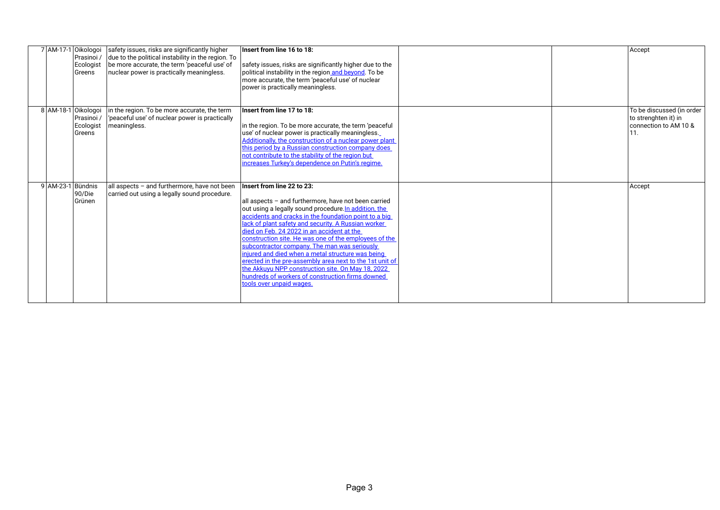|                     | Prasinoi /<br>Ecologist<br>Greens | 7 AM-17-1 Oikologoi safety issues, risks are significantly higher<br>due to the political instability in the region. To<br>be more accurate, the term 'peaceful use' of<br>nuclear power is practically meaningless. | Insert from line 16 to 18:<br>safety issues, risks are significantly higher due to the<br>political instability in the region and beyond. To be<br>more accurate, the term 'peaceful use' of nuclear<br>power is practically meaningless.                                                                                                                                                                                                                                                                                                                                                                                                                                |  | Accept                                                                     |
|---------------------|-----------------------------------|----------------------------------------------------------------------------------------------------------------------------------------------------------------------------------------------------------------------|--------------------------------------------------------------------------------------------------------------------------------------------------------------------------------------------------------------------------------------------------------------------------------------------------------------------------------------------------------------------------------------------------------------------------------------------------------------------------------------------------------------------------------------------------------------------------------------------------------------------------------------------------------------------------|--|----------------------------------------------------------------------------|
| 8 AM-18-1 Oikologoi | Prasinoi /<br>Ecologist<br>Greens | in the region. To be more accurate, the term<br>peaceful use' of nuclear power is practically<br>meaningless.                                                                                                        | Insert from line 17 to 18:<br>in the region. To be more accurate, the term 'peaceful<br>use' of nuclear power is practically meaningless.<br>Additionally, the construction of a nuclear power plant<br>this period by a Russian construction company does<br>not contribute to the stability of the region but<br>increases Turkey's dependence on Putin's regime.                                                                                                                                                                                                                                                                                                      |  | To be discussed (in order<br>to strenghten it) in<br>connection to AM 10 & |
| 9 AM-23-1 Bündnis   | 90/Die<br>Grünen                  | all aspects - and furthermore, have not been<br>carried out using a legally sound procedure.                                                                                                                         | Insert from line 22 to 23:<br>all aspects - and furthermore, have not been carried<br>out using a legally sound procedure. In addition, the<br>accidents and cracks in the foundation point to a big<br>lack of plant safety and security. A Russian worker<br>died on Feb. 24 2022 in an accident at the<br>construction site. He was one of the employees of the<br>subcontractor company. The man was seriously<br>injured and died when a metal structure was being<br>erected in the pre-assembly area next to the 1st unit of<br>the Akkuyu NPP construction site. On May 18, 2022<br>hundreds of workers of construction firms downed<br>tools over unpaid wages. |  | Accept                                                                     |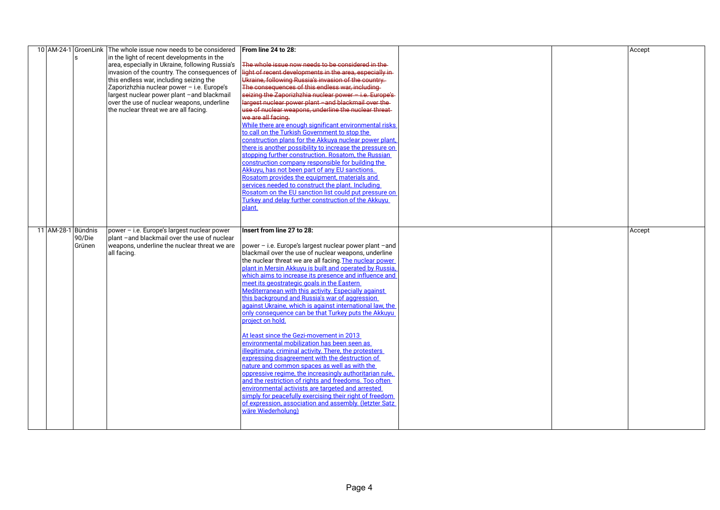|                    | s                | 10 AM-24-1 GroenLink The whole issue now needs to be considered<br>in the light of recent developments in the<br>area, especially in Ukraine, following Russia's<br>invasion of the country. The consequences of<br>this endless war, including seizing the<br>Zaporizhzhia nuclear power - i.e. Europe's<br>largest nuclear power plant -and blackmail<br>over the use of nuclear weapons, underline<br>the nuclear threat we are all facing. | From line 24 to 28:<br>The whole issue now needs to be considered in the<br>light of recent developments in the area, especially in-<br>Ukraine, following Russia's invasion of the country.<br>The consequences of this endless war, including<br>seizing the Zaporizhzhia nuclear power - i.e. Europe's-<br>largest nuclear power plant - and blackmail over the<br>use of nuclear weapons, underline the nuclear threat-<br>we are all facing.<br>While there are enough significant environmental risks<br>to call on the Turkish Government to stop the<br>construction plans for the Akkuya nuclear power plant,<br>there is another possibility to increase the pressure on<br>stopping further construction. Rosatom, the Russian<br>construction company responsible for building the<br>Akkuyu, has not been part of any EU sanctions.<br>Rosatom provides the equipment, materials and<br>services needed to construct the plant. Including<br>Rosatom on the EU sanction list could put pressure on<br>Turkey and delay further construction of the Akkuyu<br>plant.                                                                                                                        |  | Accept |
|--------------------|------------------|------------------------------------------------------------------------------------------------------------------------------------------------------------------------------------------------------------------------------------------------------------------------------------------------------------------------------------------------------------------------------------------------------------------------------------------------|---------------------------------------------------------------------------------------------------------------------------------------------------------------------------------------------------------------------------------------------------------------------------------------------------------------------------------------------------------------------------------------------------------------------------------------------------------------------------------------------------------------------------------------------------------------------------------------------------------------------------------------------------------------------------------------------------------------------------------------------------------------------------------------------------------------------------------------------------------------------------------------------------------------------------------------------------------------------------------------------------------------------------------------------------------------------------------------------------------------------------------------------------------------------------------------------------------|--|--------|
| 11 AM-28-1 Bündnis | 90/Die<br>Grünen | power - i.e. Europe's largest nuclear power<br>plant -and blackmail over the use of nuclear<br>weapons, underline the nuclear threat we are<br>all facing.                                                                                                                                                                                                                                                                                     | Insert from line 27 to 28:<br> power – i.e. Europe's largest nuclear power plant –and<br>blackmail over the use of nuclear weapons, underline<br>the nuclear threat we are all facing. The nuclear power<br>plant in Mersin Akkuyu is built and operated by Russia,<br>which aims to increase its presence and influence and<br>meet its geostrategic goals in the Eastern<br>Mediterranean with this activity. Especially against<br>this background and Russia's war of aggression<br>against Ukraine, which is against international law, the<br>only consequence can be that Turkey puts the Akkuyu<br>project on hold.<br>At least since the Gezi-movement in 2013<br>environmental mobilization has been seen as<br>illegitimate, criminal activity. There, the protesters<br>expressing disagreement with the destruction of<br>nature and common spaces as well as with the<br>oppressive regime, the increasingly authoritarian rule,<br>and the restriction of rights and freedoms. Too often<br>environmental activists are targeted and arrested<br>simply for peacefully exercising their right of freedom<br>of expression, association and assembly. (letzter Satz<br>wäre Wiederholung) |  | Accept |